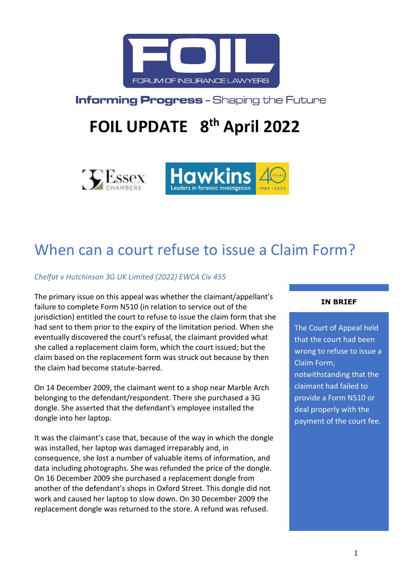

**Informing Progress - Shaping the Future** 

# **FOIL UPDATE 8 th April 2022**





# When can a court refuse to issue a Claim Form?

*Chelfat v Hutchinson 3G UK Limited (2022) EWCA Civ 455*

The primary issue on this appeal was whether the claimant/appellant's failure to complete Form N510 (in relation to service out of the jurisdiction) entitled the court to refuse to issue the claim form that she had sent to them prior to the expiry of the limitation period. When she eventually discovered the court's refusal, the claimant provided what she called a replacement claim form, which the court issued; but the claim based on the replacement form was struck out because by then the claim had become statute-barred.

On 14 December 2009, the claimant went to a shop near Marble Arch belonging to the defendant/respondent. There she purchased a 3G dongle. She asserted that the defendant's employee installed the dongle into her laptop.

It was the claimant's case that, because of the way in which the dongle was installed, her laptop was damaged irreparably and, in consequence, she lost a number of valuable items of information, and data including photographs. She was refunded the price of the dongle. On 16 December 2009 she purchased a replacement dongle from another of the defendant's shops in Oxford Street. This dongle did not work and caused her laptop to slow down. On 30 December 2009 the replacement dongle was returned to the store. A refund was refused.

#### **IN BRIEF**

The Court of Appeal held that the court had been wrong to refuse to issue a Claim Form, notwithstanding that the claimant had failed to provide a Form N510 or deal properly with the payment of the court fee.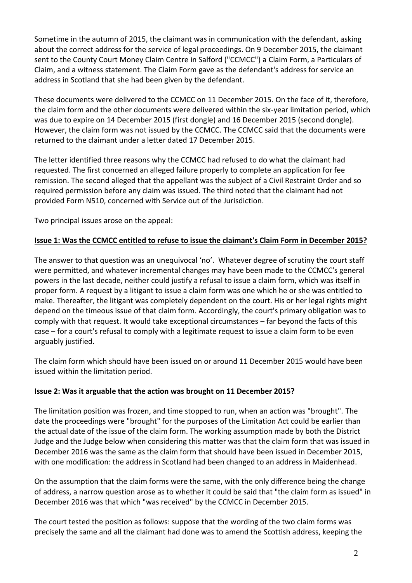Sometime in the autumn of 2015, the claimant was in communication with the defendant, asking about the correct address for the service of legal proceedings. On 9 December 2015, the claimant sent to the County Court Money Claim Centre in Salford ("CCMCC") a Claim Form, a Particulars of Claim, and a witness statement. The Claim Form gave as the defendant's address for service an address in Scotland that she had been given by the defendant.

These documents were delivered to the CCMCC on 11 December 2015. On the face of it, therefore, the claim form and the other documents were delivered within the six-year limitation period, which was due to expire on 14 December 2015 (first dongle) and 16 December 2015 (second dongle). However, the claim form was not issued by the CCMCC. The CCMCC said that the documents were returned to the claimant under a letter dated 17 December 2015.

The letter identified three reasons why the CCMCC had refused to do what the claimant had requested. The first concerned an alleged failure properly to complete an application for fee remission. The second alleged that the appellant was the subject of a Civil Restraint Order and so required permission before any claim was issued. The third noted that the claimant had not provided Form N510, concerned with Service out of the Jurisdiction.

Two principal issues arose on the appeal:

## **Issue 1: Was the CCMCC entitled to refuse to issue the claimant's Claim Form in December 2015?**

The answer to that question was an unequivocal 'no'. Whatever degree of scrutiny the court staff were permitted, and whatever incremental changes may have been made to the CCMCC's general powers in the last decade, neither could justify a refusal to issue a claim form, which was itself in proper form. A request by a litigant to issue a claim form was one which he or she was entitled to make. Thereafter, the litigant was completely dependent on the court. His or her legal rights might depend on the timeous issue of that claim form. Accordingly, the court's primary obligation was to comply with that request. It would take exceptional circumstances – far beyond the facts of this case – for a court's refusal to comply with a legitimate request to issue a claim form to be even arguably justified.

The claim form which should have been issued on or around 11 December 2015 would have been issued within the limitation period.

### **Issue 2: Was it arguable that the action was brought on 11 December 2015?**

The limitation position was frozen, and time stopped to run, when an action was "brought". The date the proceedings were "brought" for the purposes of the Limitation Act could be earlier than the actual date of the issue of the claim form. The working assumption made by both the District Judge and the Judge below when considering this matter was that the claim form that was issued in December 2016 was the same as the claim form that should have been issued in December 2015, with one modification: the address in Scotland had been changed to an address in Maidenhead.

On the assumption that the claim forms were the same, with the only difference being the change of address, a narrow question arose as to whether it could be said that "the claim form as issued" in December 2016 was that which "was received" by the CCMCC in December 2015.

The court tested the position as follows: suppose that the wording of the two claim forms was precisely the same and all the claimant had done was to amend the Scottish address, keeping the